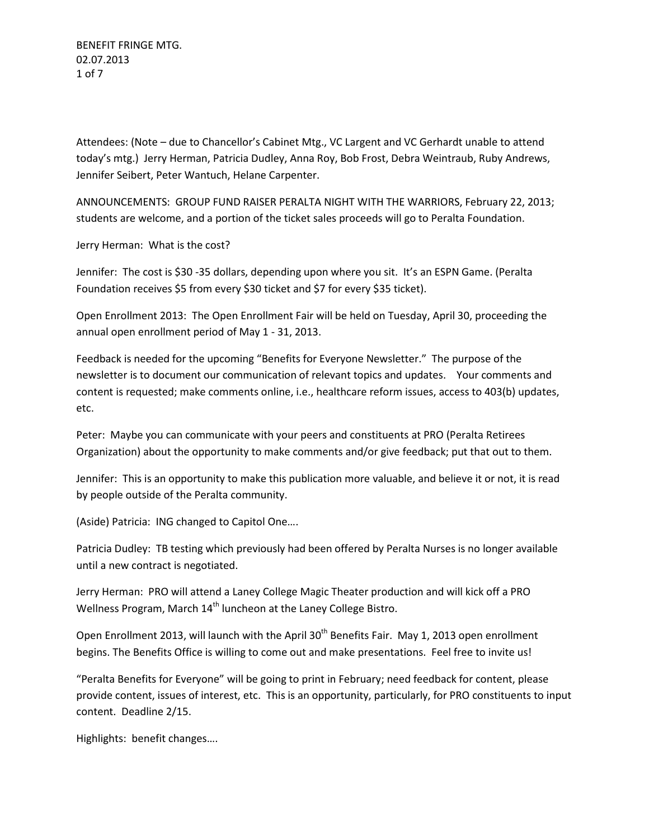BENEFIT FRINGE MTG. 02.07.2013 1 of 7

Attendees: (Note – due to Chancellor's Cabinet Mtg., VC Largent and VC Gerhardt unable to attend today's mtg.) Jerry Herman, Patricia Dudley, Anna Roy, Bob Frost, Debra Weintraub, Ruby Andrews, Jennifer Seibert, Peter Wantuch, Helane Carpenter.

ANNOUNCEMENTS: GROUP FUND RAISER PERALTA NIGHT WITH THE WARRIORS, February 22, 2013; students are welcome, and a portion of the ticket sales proceeds will go to Peralta Foundation.

Jerry Herman: What is the cost?

Jennifer: The cost is \$30 -35 dollars, depending upon where you sit. It's an ESPN Game. (Peralta Foundation receives \$5 from every \$30 ticket and \$7 for every \$35 ticket).

Open Enrollment 2013: The Open Enrollment Fair will be held on Tuesday, April 30, proceeding the annual open enrollment period of May 1 - 31, 2013.

Feedback is needed for the upcoming "Benefits for Everyone Newsletter." The purpose of the newsletter is to document our communication of relevant topics and updates. Your comments and content is requested; make comments online, i.e., healthcare reform issues, access to 403(b) updates, etc.

Peter: Maybe you can communicate with your peers and constituents at PRO (Peralta Retirees Organization) about the opportunity to make comments and/or give feedback; put that out to them.

Jennifer: This is an opportunity to make this publication more valuable, and believe it or not, it is read by people outside of the Peralta community.

(Aside) Patricia: ING changed to Capitol One….

Patricia Dudley: TB testing which previously had been offered by Peralta Nurses is no longer available until a new contract is negotiated.

Jerry Herman: PRO will attend a Laney College Magic Theater production and will kick off a PRO Wellness Program, March  $14<sup>th</sup>$  luncheon at the Laney College Bistro.

Open Enrollment 2013, will launch with the April 30<sup>th</sup> Benefits Fair. May 1, 2013 open enrollment begins. The Benefits Office is willing to come out and make presentations. Feel free to invite us!

"Peralta Benefits for Everyone" will be going to print in February; need feedback for content, please provide content, issues of interest, etc. This is an opportunity, particularly, for PRO constituents to input content. Deadline 2/15.

Highlights: benefit changes….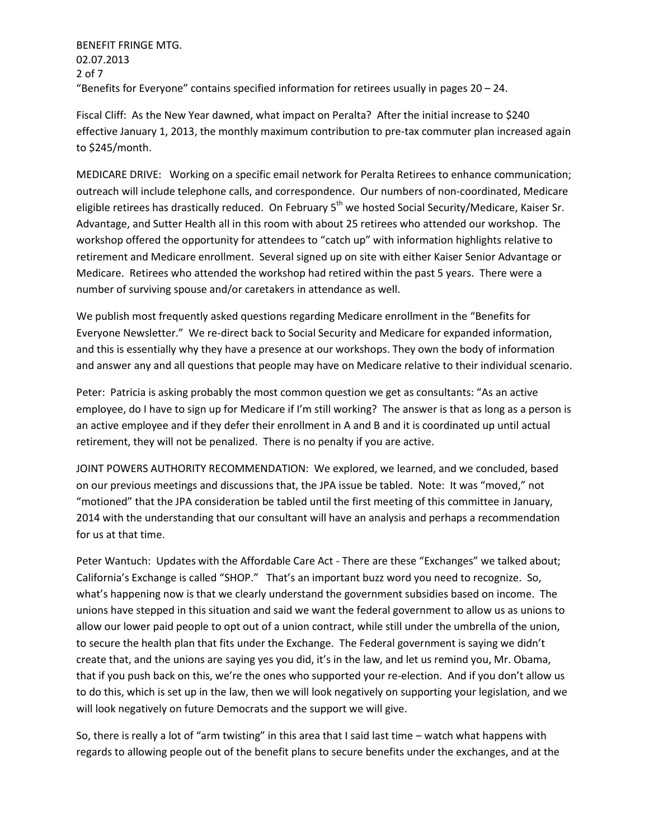BENEFIT FRINGE MTG. 02.07.2013 2 of 7 "Benefits for Everyone" contains specified information for retirees usually in pages 20 – 24.

Fiscal Cliff: As the New Year dawned, what impact on Peralta? After the initial increase to \$240 effective January 1, 2013, the monthly maximum contribution to pre-tax commuter plan increased again to \$245/month.

MEDICARE DRIVE: Working on a specific email network for Peralta Retirees to enhance communication; outreach will include telephone calls, and correspondence. Our numbers of non-coordinated, Medicare eligible retirees has drastically reduced. On February 5<sup>th</sup> we hosted Social Security/Medicare, Kaiser Sr. Advantage, and Sutter Health all in this room with about 25 retirees who attended our workshop. The workshop offered the opportunity for attendees to "catch up" with information highlights relative to retirement and Medicare enrollment. Several signed up on site with either Kaiser Senior Advantage or Medicare. Retirees who attended the workshop had retired within the past 5 years. There were a number of surviving spouse and/or caretakers in attendance as well.

We publish most frequently asked questions regarding Medicare enrollment in the "Benefits for Everyone Newsletter." We re-direct back to Social Security and Medicare for expanded information, and this is essentially why they have a presence at our workshops. They own the body of information and answer any and all questions that people may have on Medicare relative to their individual scenario.

Peter: Patricia is asking probably the most common question we get as consultants: "As an active employee, do I have to sign up for Medicare if I'm still working? The answer is that as long as a person is an active employee and if they defer their enrollment in A and B and it is coordinated up until actual retirement, they will not be penalized. There is no penalty if you are active.

JOINT POWERS AUTHORITY RECOMMENDATION: We explored, we learned, and we concluded, based on our previous meetings and discussions that, the JPA issue be tabled. Note: It was "moved," not "motioned" that the JPA consideration be tabled until the first meeting of this committee in January, 2014 with the understanding that our consultant will have an analysis and perhaps a recommendation for us at that time.

Peter Wantuch: Updates with the Affordable Care Act - There are these "Exchanges" we talked about; California's Exchange is called "SHOP." That's an important buzz word you need to recognize. So, what's happening now is that we clearly understand the government subsidies based on income. The unions have stepped in this situation and said we want the federal government to allow us as unions to allow our lower paid people to opt out of a union contract, while still under the umbrella of the union, to secure the health plan that fits under the Exchange. The Federal government is saying we didn't create that, and the unions are saying yes you did, it's in the law, and let us remind you, Mr. Obama, that if you push back on this, we're the ones who supported your re-election. And if you don't allow us to do this, which is set up in the law, then we will look negatively on supporting your legislation, and we will look negatively on future Democrats and the support we will give.

So, there is really a lot of "arm twisting" in this area that I said last time – watch what happens with regards to allowing people out of the benefit plans to secure benefits under the exchanges, and at the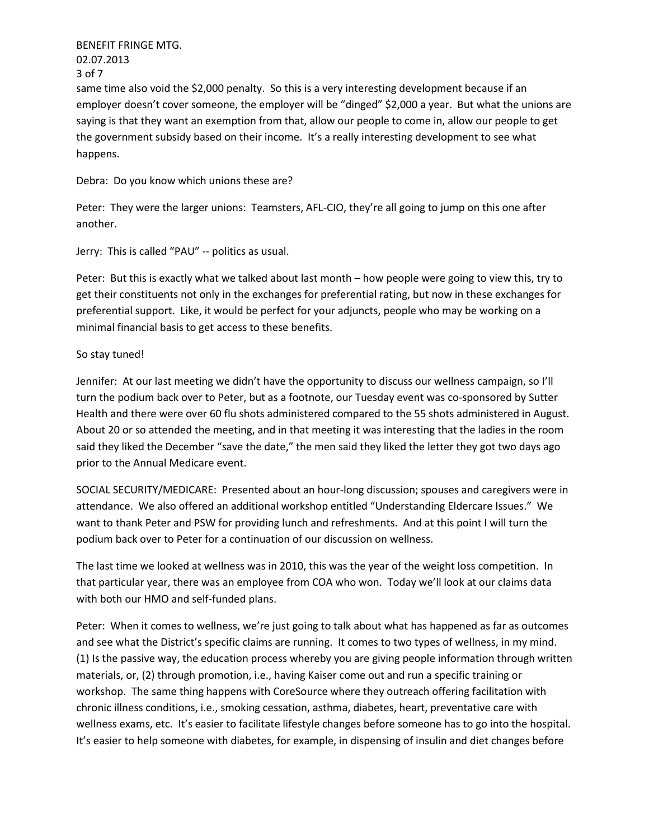BENEFIT FRINGE MTG. 02.07.2013 3 of 7

same time also void the \$2,000 penalty. So this is a very interesting development because if an employer doesn't cover someone, the employer will be "dinged" \$2,000 a year. But what the unions are saying is that they want an exemption from that, allow our people to come in, allow our people to get the government subsidy based on their income. It's a really interesting development to see what happens.

Debra: Do you know which unions these are?

Peter: They were the larger unions: Teamsters, AFL-CIO, they're all going to jump on this one after another.

Jerry: This is called "PAU" -- politics as usual.

Peter: But this is exactly what we talked about last month – how people were going to view this, try to get their constituents not only in the exchanges for preferential rating, but now in these exchanges for preferential support. Like, it would be perfect for your adjuncts, people who may be working on a minimal financial basis to get access to these benefits.

## So stay tuned!

Jennifer: At our last meeting we didn't have the opportunity to discuss our wellness campaign, so I'll turn the podium back over to Peter, but as a footnote, our Tuesday event was co-sponsored by Sutter Health and there were over 60 flu shots administered compared to the 55 shots administered in August. About 20 or so attended the meeting, and in that meeting it was interesting that the ladies in the room said they liked the December "save the date," the men said they liked the letter they got two days ago prior to the Annual Medicare event.

SOCIAL SECURITY/MEDICARE: Presented about an hour-long discussion; spouses and caregivers were in attendance. We also offered an additional workshop entitled "Understanding Eldercare Issues." We want to thank Peter and PSW for providing lunch and refreshments. And at this point I will turn the podium back over to Peter for a continuation of our discussion on wellness.

The last time we looked at wellness was in 2010, this was the year of the weight loss competition. In that particular year, there was an employee from COA who won. Today we'll look at our claims data with both our HMO and self-funded plans.

Peter: When it comes to wellness, we're just going to talk about what has happened as far as outcomes and see what the District's specific claims are running. It comes to two types of wellness, in my mind. (1) Is the passive way, the education process whereby you are giving people information through written materials, or, (2) through promotion, i.e., having Kaiser come out and run a specific training or workshop. The same thing happens with CoreSource where they outreach offering facilitation with chronic illness conditions, i.e., smoking cessation, asthma, diabetes, heart, preventative care with wellness exams, etc. It's easier to facilitate lifestyle changes before someone has to go into the hospital. It's easier to help someone with diabetes, for example, in dispensing of insulin and diet changes before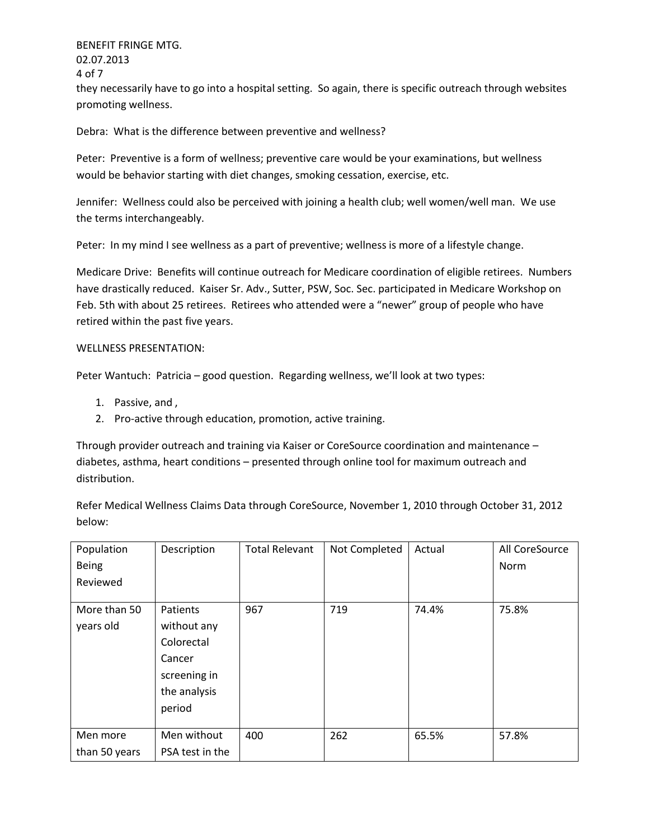BENEFIT FRINGE MTG. 02.07.2013 4 of 7 they necessarily have to go into a hospital setting. So again, there is specific outreach through websites promoting wellness.

Debra: What is the difference between preventive and wellness?

Peter: Preventive is a form of wellness; preventive care would be your examinations, but wellness would be behavior starting with diet changes, smoking cessation, exercise, etc.

Jennifer: Wellness could also be perceived with joining a health club; well women/well man. We use the terms interchangeably.

Peter: In my mind I see wellness as a part of preventive; wellness is more of a lifestyle change.

Medicare Drive: Benefits will continue outreach for Medicare coordination of eligible retirees. Numbers have drastically reduced. Kaiser Sr. Adv., Sutter, PSW, Soc. Sec. participated in Medicare Workshop on Feb. 5th with about 25 retirees. Retirees who attended were a "newer" group of people who have retired within the past five years.

## WELLNESS PRESENTATION:

Peter Wantuch: Patricia – good question. Regarding wellness, we'll look at two types:

- 1. Passive, and ,
- 2. Pro-active through education, promotion, active training.

Through provider outreach and training via Kaiser or CoreSource coordination and maintenance – diabetes, asthma, heart conditions – presented through online tool for maximum outreach and distribution.

Refer Medical Wellness Claims Data through CoreSource, November 1, 2010 through October 31, 2012 below:

| Population    | Description     | <b>Total Relevant</b> | Not Completed | Actual | All CoreSource |
|---------------|-----------------|-----------------------|---------------|--------|----------------|
| <b>Being</b>  |                 |                       |               |        | <b>Norm</b>    |
| Reviewed      |                 |                       |               |        |                |
|               |                 |                       |               |        |                |
| More than 50  | Patients        | 967                   | 719           | 74.4%  | 75.8%          |
| years old     | without any     |                       |               |        |                |
|               | Colorectal      |                       |               |        |                |
|               | Cancer          |                       |               |        |                |
|               | screening in    |                       |               |        |                |
|               | the analysis    |                       |               |        |                |
|               | period          |                       |               |        |                |
|               |                 |                       |               |        |                |
| Men more      | Men without     | 400                   | 262           | 65.5%  | 57.8%          |
| than 50 years | PSA test in the |                       |               |        |                |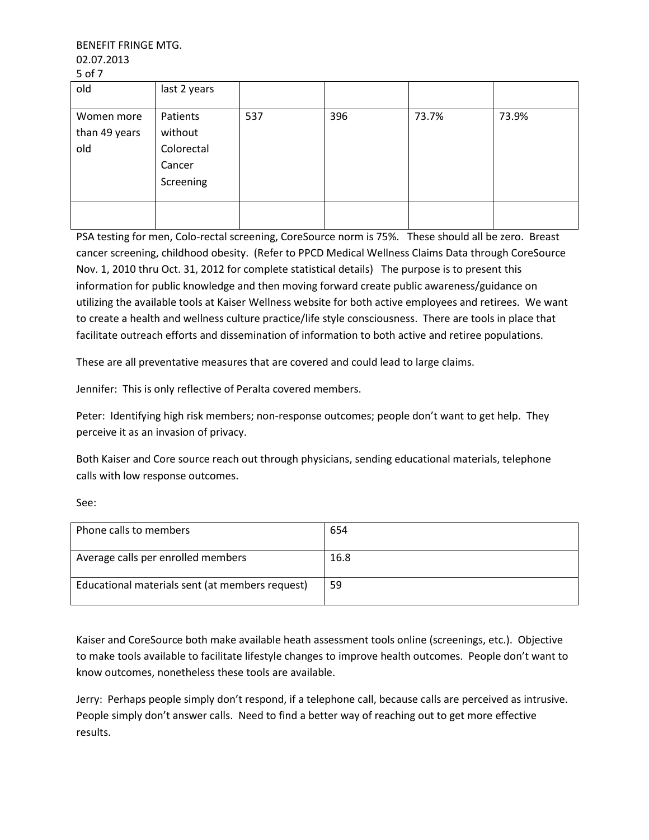BENEFIT FRINGE MTG. 02.07.2013 5 of 7

| <u>JUII</u>                        |                                                          |     |     |       |       |
|------------------------------------|----------------------------------------------------------|-----|-----|-------|-------|
| old                                | last 2 years                                             |     |     |       |       |
| Women more<br>than 49 years<br>old | Patients<br>without<br>Colorectal<br>Cancer<br>Screening | 537 | 396 | 73.7% | 73.9% |
|                                    |                                                          |     |     |       |       |

PSA testing for men, Colo-rectal screening, CoreSource norm is 75%. These should all be zero. Breast cancer screening, childhood obesity. (Refer to PPCD Medical Wellness Claims Data through CoreSource Nov. 1, 2010 thru Oct. 31, 2012 for complete statistical details) The purpose is to present this information for public knowledge and then moving forward create public awareness/guidance on utilizing the available tools at Kaiser Wellness website for both active employees and retirees. We want to create a health and wellness culture practice/life style consciousness. There are tools in place that facilitate outreach efforts and dissemination of information to both active and retiree populations.

These are all preventative measures that are covered and could lead to large claims.

Jennifer: This is only reflective of Peralta covered members.

Peter: Identifying high risk members; non-response outcomes; people don't want to get help. They perceive it as an invasion of privacy.

Both Kaiser and Core source reach out through physicians, sending educational materials, telephone calls with low response outcomes.

| ×<br>×                                             |  |
|----------------------------------------------------|--|
| ۰.<br>$\sim$<br>$\overline{\phantom{a}}$<br>$\sim$ |  |

| Phone calls to members                          | 654  |
|-------------------------------------------------|------|
| Average calls per enrolled members              | 16.8 |
| Educational materials sent (at members request) | -59  |

Kaiser and CoreSource both make available heath assessment tools online (screenings, etc.). Objective to make tools available to facilitate lifestyle changes to improve health outcomes. People don't want to know outcomes, nonetheless these tools are available.

Jerry: Perhaps people simply don't respond, if a telephone call, because calls are perceived as intrusive. People simply don't answer calls. Need to find a better way of reaching out to get more effective results.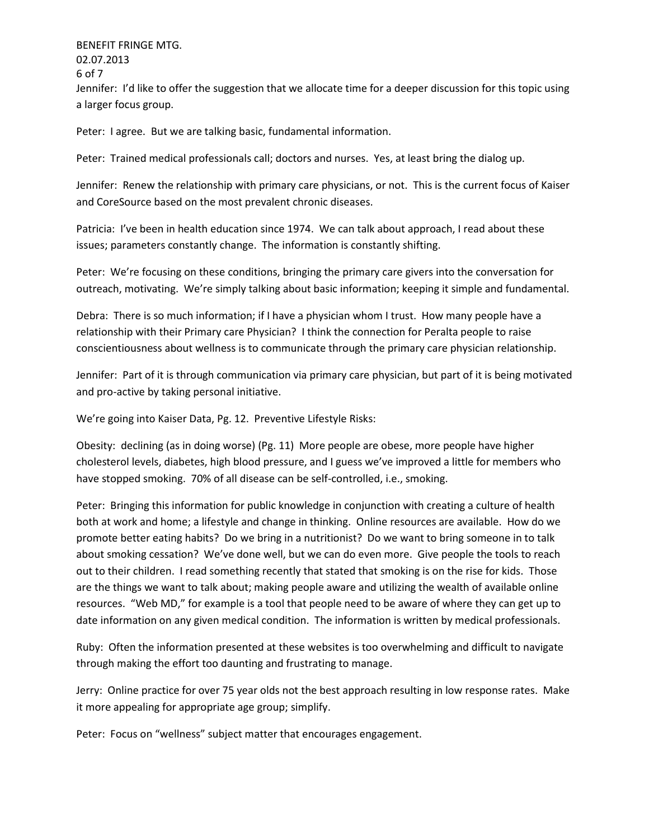BENEFIT FRINGE MTG. 02.07.2013 6 of 7 Jennifer: I'd like to offer the suggestion that we allocate time for a deeper discussion for this topic using a larger focus group.

Peter: I agree. But we are talking basic, fundamental information.

Peter: Trained medical professionals call; doctors and nurses. Yes, at least bring the dialog up.

Jennifer: Renew the relationship with primary care physicians, or not. This is the current focus of Kaiser and CoreSource based on the most prevalent chronic diseases.

Patricia: I've been in health education since 1974. We can talk about approach, I read about these issues; parameters constantly change. The information is constantly shifting.

Peter: We're focusing on these conditions, bringing the primary care givers into the conversation for outreach, motivating. We're simply talking about basic information; keeping it simple and fundamental.

Debra: There is so much information; if I have a physician whom I trust. How many people have a relationship with their Primary care Physician? I think the connection for Peralta people to raise conscientiousness about wellness is to communicate through the primary care physician relationship.

Jennifer: Part of it is through communication via primary care physician, but part of it is being motivated and pro-active by taking personal initiative.

We're going into Kaiser Data, Pg. 12. Preventive Lifestyle Risks:

Obesity: declining (as in doing worse) (Pg. 11) More people are obese, more people have higher cholesterol levels, diabetes, high blood pressure, and I guess we've improved a little for members who have stopped smoking. 70% of all disease can be self-controlled, i.e., smoking.

Peter: Bringing this information for public knowledge in conjunction with creating a culture of health both at work and home; a lifestyle and change in thinking. Online resources are available. How do we promote better eating habits? Do we bring in a nutritionist? Do we want to bring someone in to talk about smoking cessation? We've done well, but we can do even more. Give people the tools to reach out to their children. I read something recently that stated that smoking is on the rise for kids. Those are the things we want to talk about; making people aware and utilizing the wealth of available online resources. "Web MD," for example is a tool that people need to be aware of where they can get up to date information on any given medical condition. The information is written by medical professionals.

Ruby: Often the information presented at these websites is too overwhelming and difficult to navigate through making the effort too daunting and frustrating to manage.

Jerry: Online practice for over 75 year olds not the best approach resulting in low response rates. Make it more appealing for appropriate age group; simplify.

Peter: Focus on "wellness" subject matter that encourages engagement.